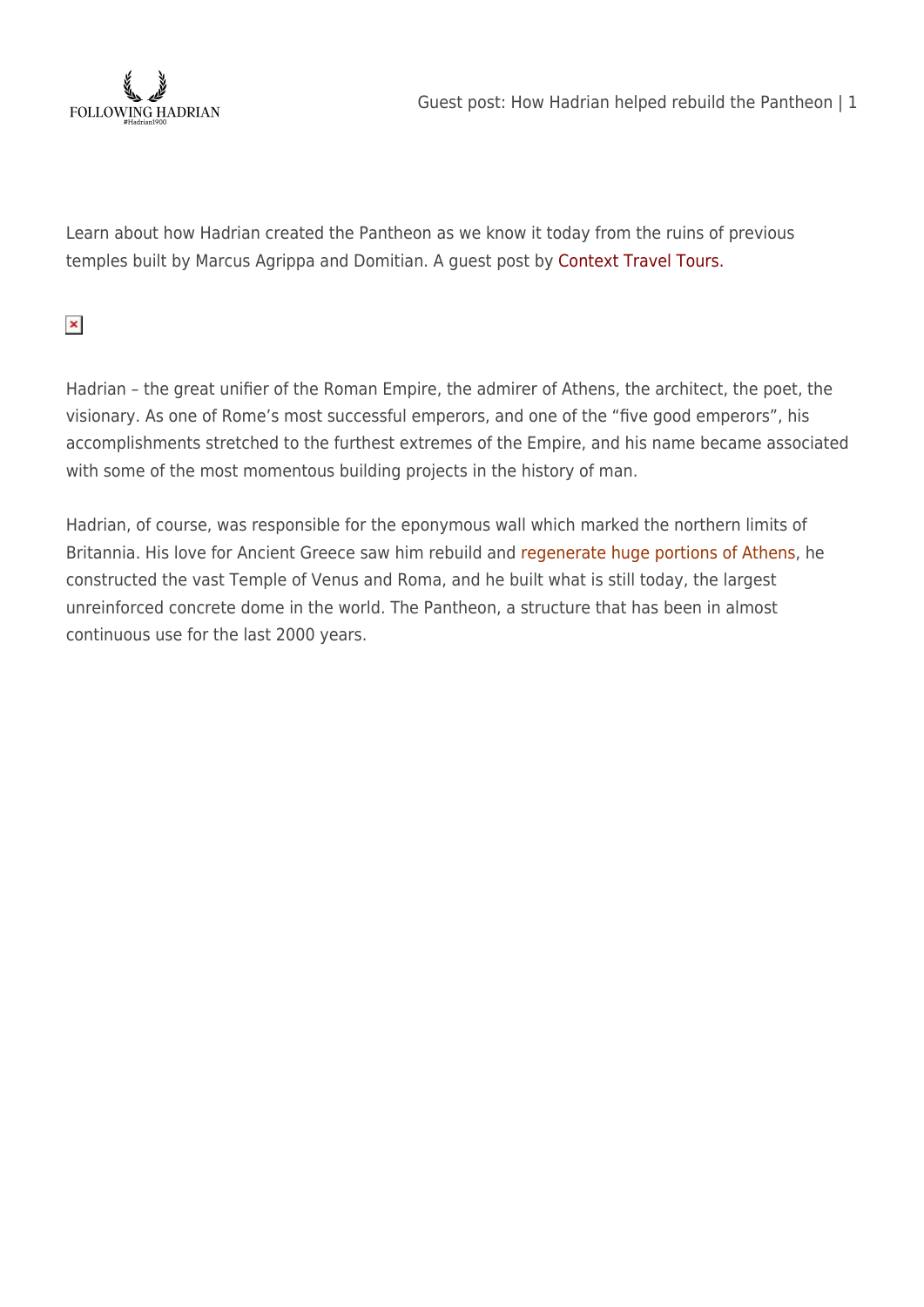

Learn about how Hadrian created the Pantheon as we know it today from the ruins of previous temples built by Marcus Agrippa and Domitian. A guest post by Context Travel Tours.

 $\pmb{\times}$ 

Hadrian – the great unifier of the Roman Empire, the admirer of Athens, the architect, the poet, the visionary. As one of Rome's most successful emperors, and one of the "five good emperors", his accomplishments stretched to the furthest extremes of the Empire, and his name became associated with some of the most momentous building projects in the history of man.

Hadrian, of course, was responsible for the eponymous wall which marked the northern limits of Britannia. His love for Ancient Greece saw him rebuild and [regenerate huge portions of Athens,](https://followinghadrian.com/2018/03/20/exhibition-hadrian-saviour-and-builder-at-the-fethiye-mosque-in-athens/) he constructed the vast Temple of Venus and Roma, and he built what is still today, the largest unreinforced concrete dome in the world. The Pantheon, a structure that has been in almost continuous use for the last 2000 years.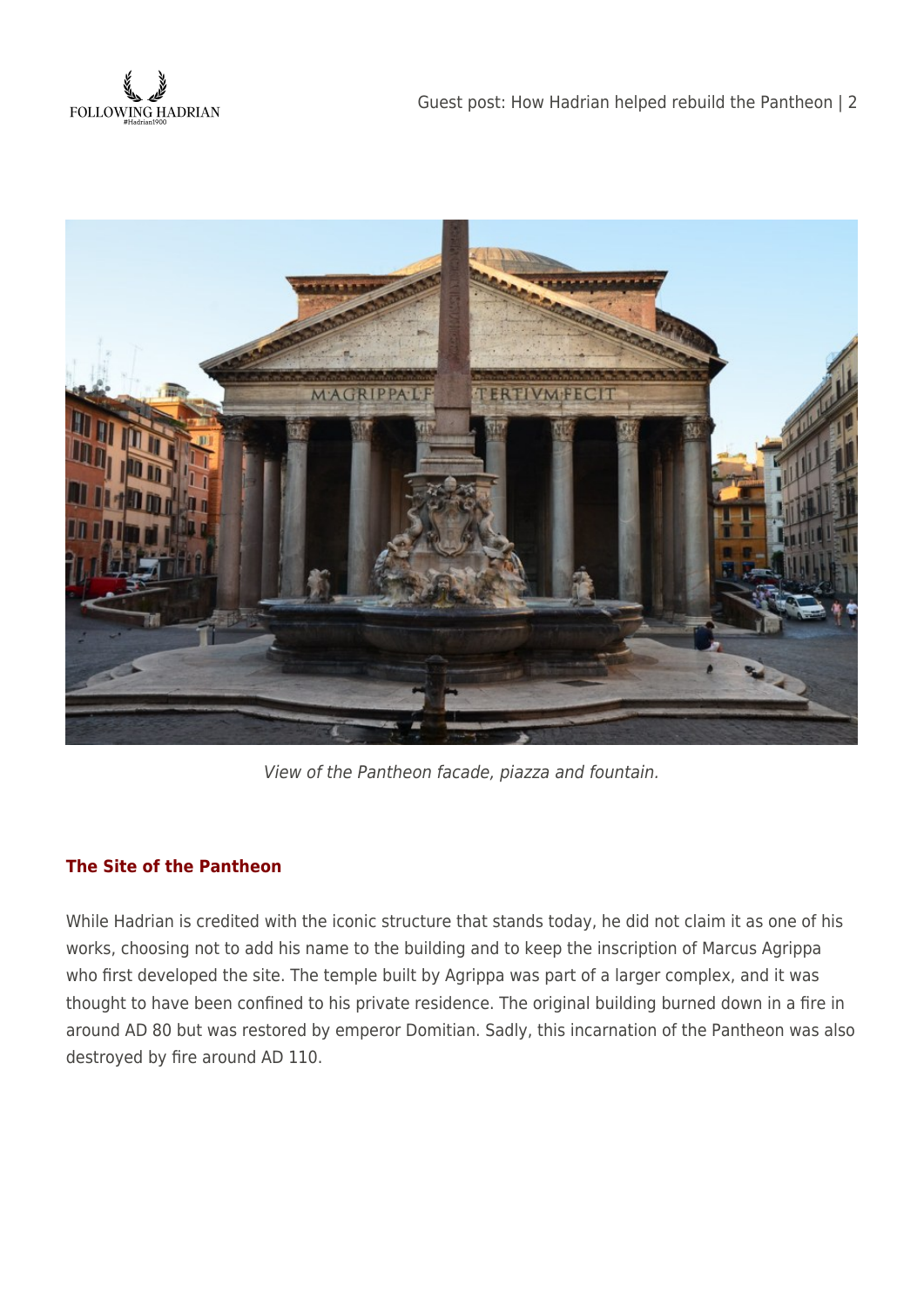



View of the Pantheon facade, piazza and fountain.

## **The Site of the Pantheon**

While Hadrian is credited with the iconic structure that stands today, he did not claim it as one of his works, choosing not to add his name to the building and to keep the inscription of Marcus Agrippa who first developed the site. The temple built by Agrippa was part of a larger complex, and it was thought to have been confined to his private residence. The original building burned down in a fire in around AD 80 but was restored by emperor Domitian. Sadly, this incarnation of the Pantheon was also destroyed by fire around AD 110.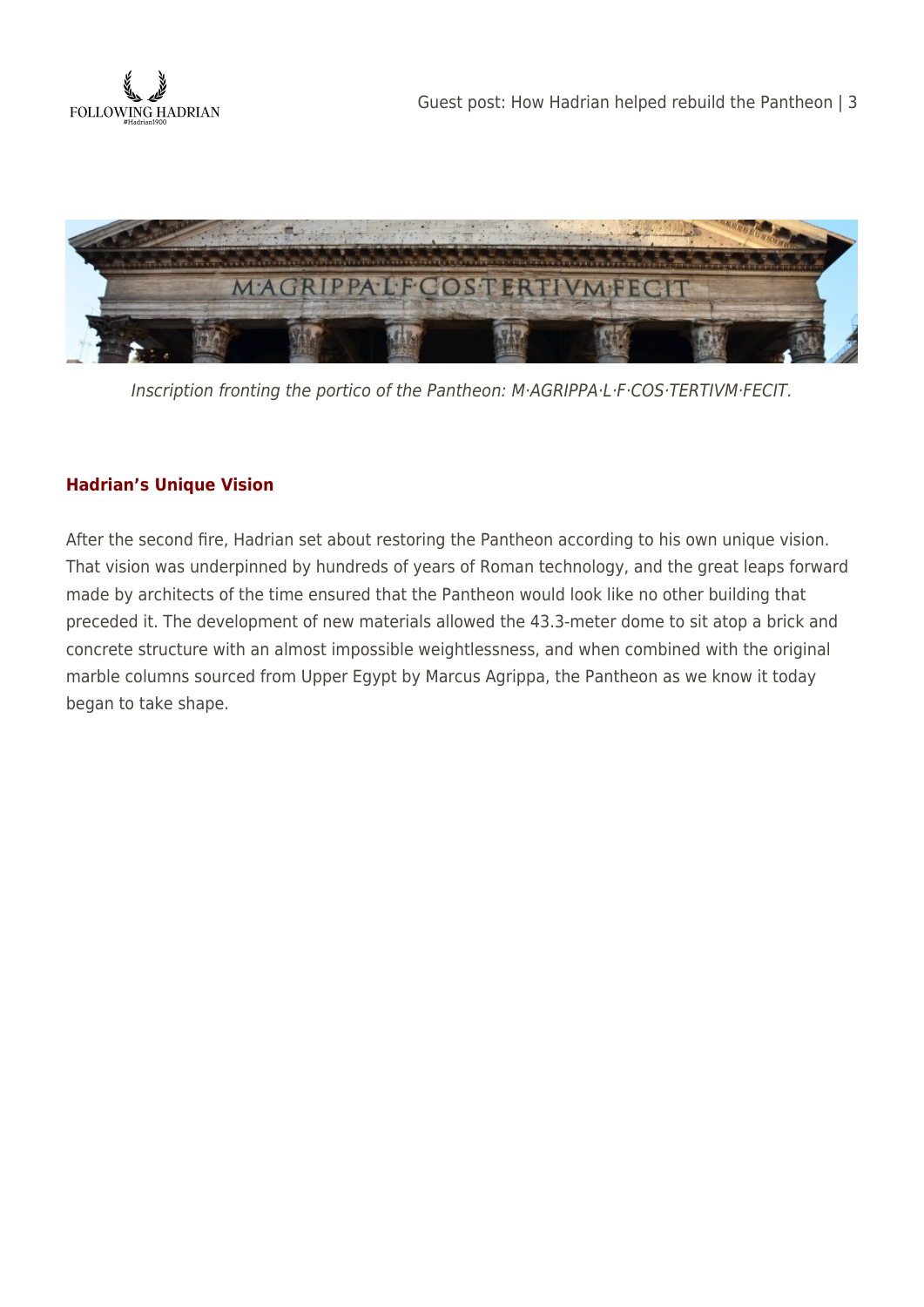



Inscription fronting the portico of the Pantheon: M·AGRIPPA·L·F·COS·TERTIVM·FECIT.

## **Hadrian's Unique Vision**

After the second fire, Hadrian set about restoring the Pantheon according to his own unique vision. That vision was underpinned by hundreds of years of Roman technology, and the great leaps forward made by architects of the time ensured that the Pantheon would look like no other building that preceded it. The development of new materials allowed the 43.3-meter dome to sit atop a brick and concrete structure with an almost impossible weightlessness, and when combined with the original marble columns sourced from Upper Egypt by Marcus Agrippa, the Pantheon as we know it today began to take shape.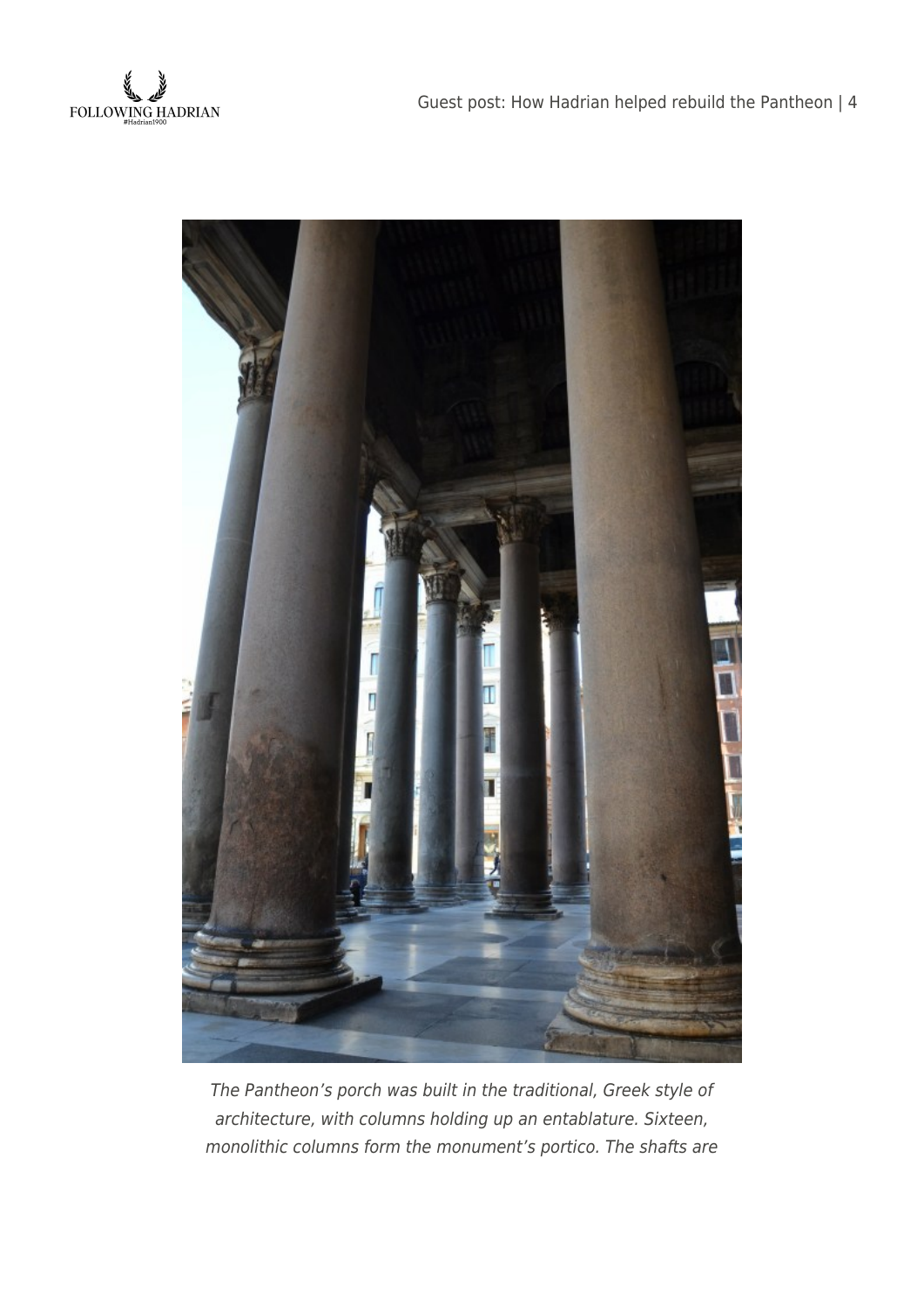



The Pantheon's porch was built in the traditional, Greek style of architecture, with columns holding up an entablature. Sixteen, monolithic columns form the monument's portico. The shafts are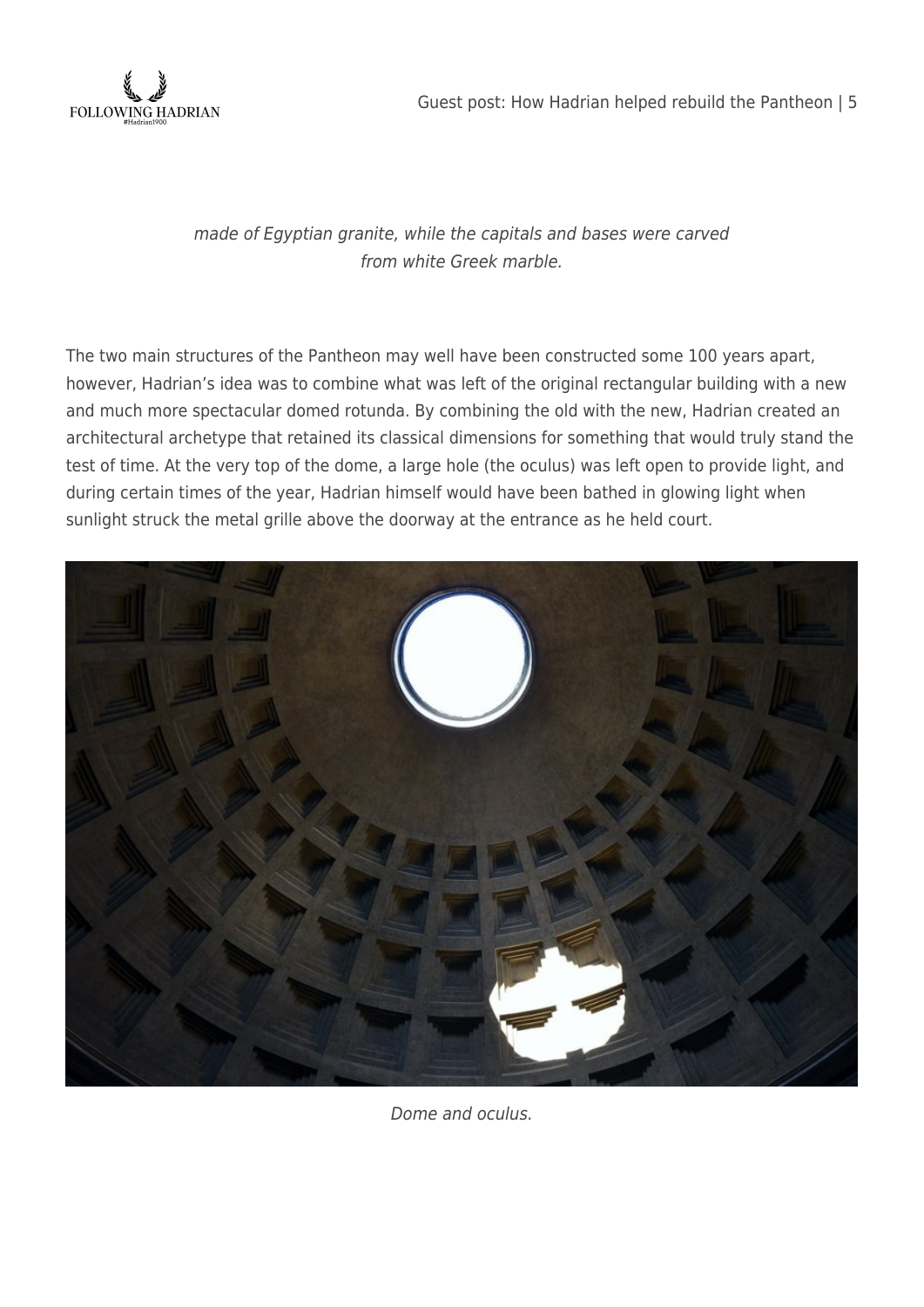

made of Egyptian granite, while the capitals and bases were carved from white Greek marble.

The two main structures of the Pantheon may well have been constructed some 100 years apart, however, Hadrian's idea was to combine what was left of the original rectangular building with a new and much more spectacular domed rotunda. By combining the old with the new, Hadrian created an architectural archetype that retained its classical dimensions for something that would truly stand the test of time. At the very top of the dome, a large hole (the oculus) was left open to provide light, and during certain times of the year, Hadrian himself would have been bathed in glowing light when sunlight struck the metal grille above the doorway at the entrance as he held court.



Dome and oculus.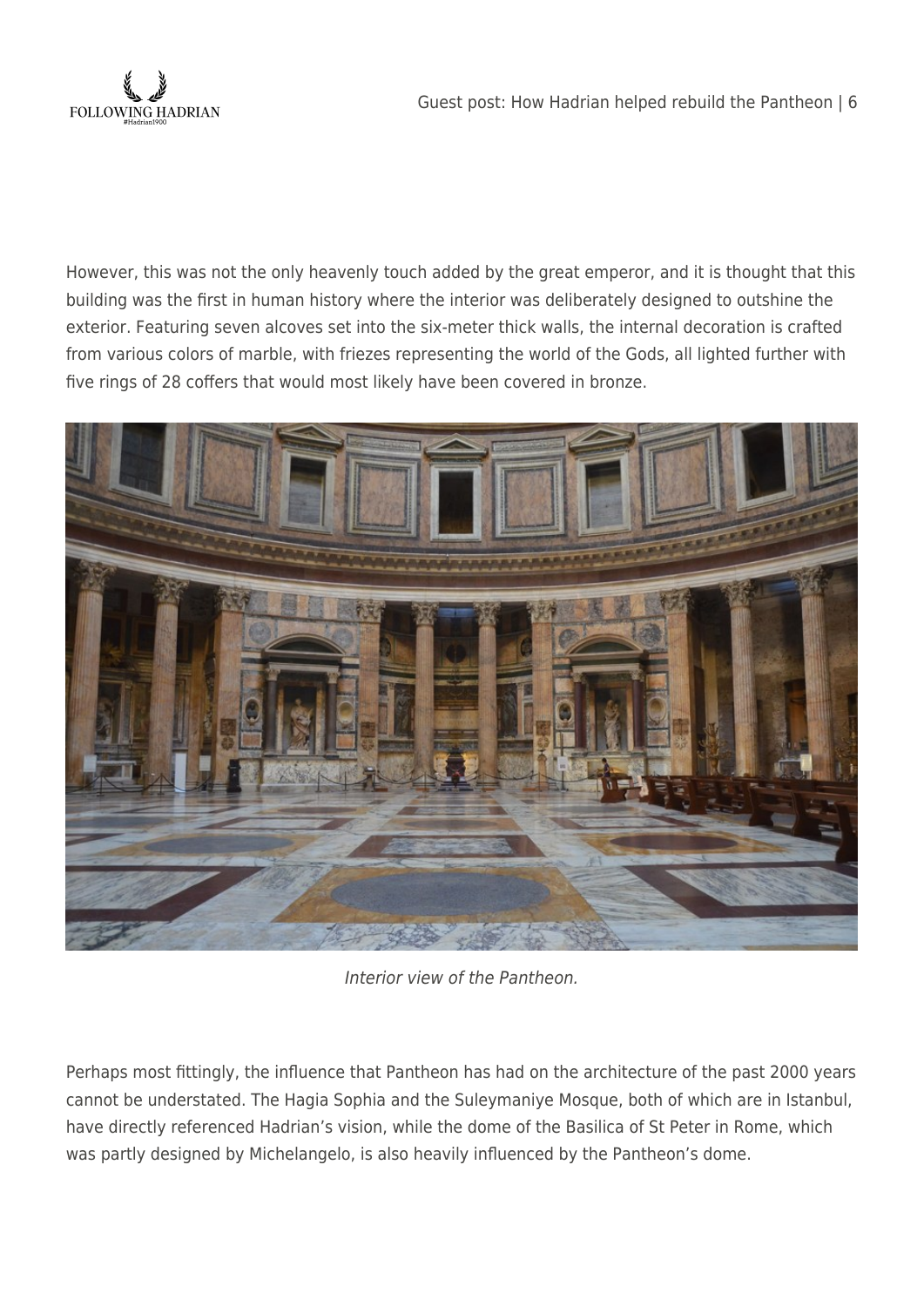

However, this was not the only heavenly touch added by the great emperor, and it is thought that this building was the first in human history where the interior was deliberately designed to outshine the exterior. Featuring seven alcoves set into the six-meter thick walls, the internal decoration is crafted from various colors of marble, with friezes representing the world of the Gods, all lighted further with five rings of 28 coffers that would most likely have been covered in bronze.



Interior view of the Pantheon.

Perhaps most fittingly, the influence that Pantheon has had on the architecture of the past 2000 years cannot be understated. The Hagia Sophia and the Suleymaniye Mosque, both of which are in Istanbul, have directly referenced Hadrian's vision, while the dome of the Basilica of St Peter in Rome, which was partly designed by Michelangelo, is also heavily influenced by the Pantheon's dome.